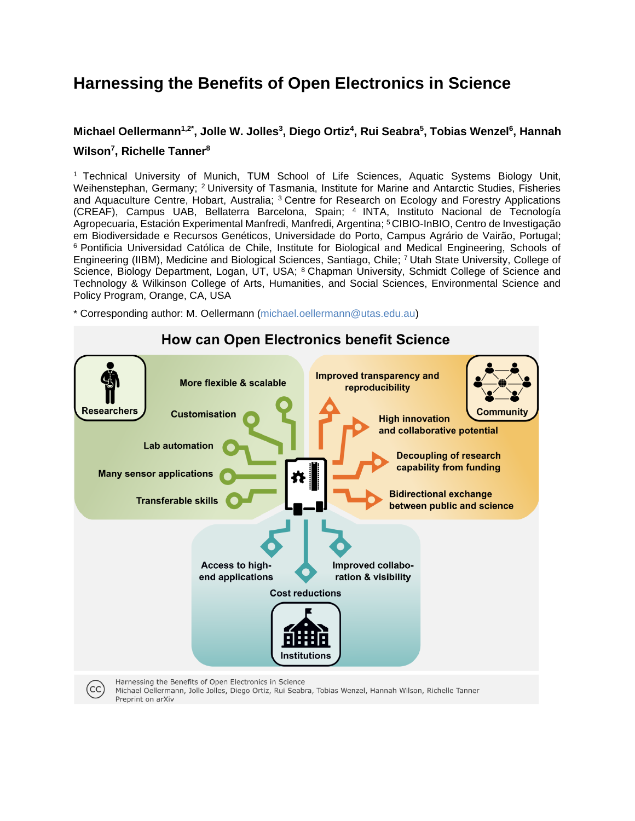# **Harnessing the Benefits of Open Electronics in Science**

## **Michael Oellermann1,2\*, Jolle W. Jolles<sup>3</sup> , Diego Ortiz<sup>4</sup> , Rui Seabra<sup>5</sup> , Tobias Wenzel<sup>6</sup> , Hannah Wilson<sup>7</sup> , Richelle Tanner<sup>8</sup>**

<sup>1</sup> Technical University of Munich, TUM School of Life Sciences, Aquatic Systems Biology Unit, Weihenstephan, Germany; <sup>2</sup> University of Tasmania, Institute for Marine and Antarctic Studies, Fisheries and Aquaculture Centre, Hobart, Australia; <sup>3</sup> Centre for Research on Ecology and Forestry Applications (CREAF), Campus UAB, Bellaterra Barcelona, Spain; <sup>4</sup> INTA, Instituto Nacional de Tecnología Agropecuaria, Estación Experimental Manfredi, Manfredi, Argentina; <sup>5</sup>CIBIO-InBIO, Centro de Investigação em Biodiversidade e Recursos Genéticos, Universidade do Porto, Campus Agrário de Vairão, Portugal; <sup>6</sup> Pontificia Universidad Católica de Chile, Institute for Biological and Medical Engineering, Schools of Engineering (IIBM), Medicine and Biological Sciences, Santiago, Chile; <sup>7</sup>Utah State University, College of Science, Biology Department, Logan, UT, USA; <sup>8</sup> Chapman University, Schmidt College of Science and Technology & Wilkinson College of Arts, Humanities, and Social Sciences, Environmental Science and Policy Program, Orange, CA, USA

\* Corresponding author: M. Oellermann [\(michael.oellermann@utas.edu.au\)](mailto:michael.oellermann@utas.edu.au)



#### **How can Open Electronics benefit Science**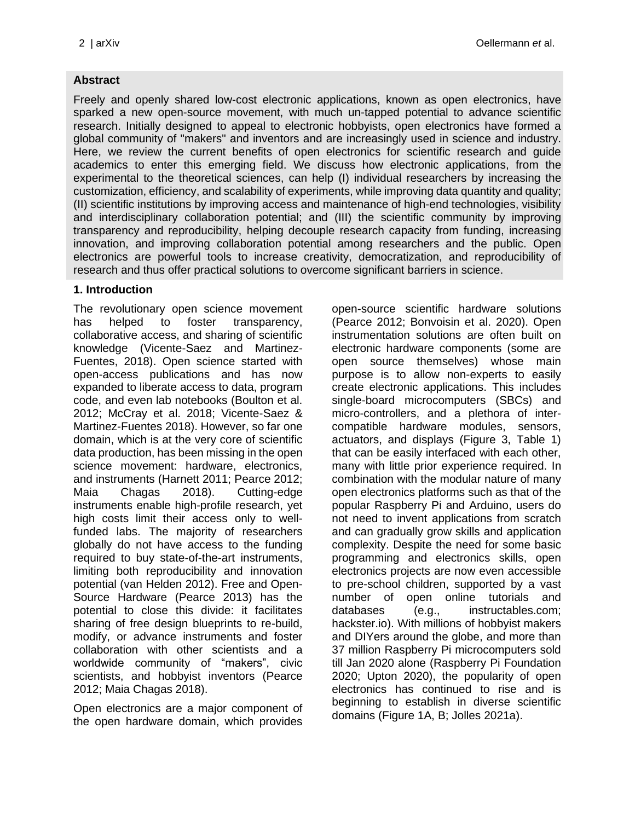#### **Abstract**

Freely and openly shared low-cost electronic applications, known as open electronics, have sparked a new open-source movement, with much un-tapped potential to advance scientific research. Initially designed to appeal to electronic hobbyists, open electronics have formed a global community of "makers" and inventors and are increasingly used in science and industry. Here, we review the current benefits of open electronics for scientific research and guide academics to enter this emerging field. We discuss how electronic applications, from the experimental to the theoretical sciences, can help (I) individual researchers by increasing the customization, efficiency, and scalability of experiments, while improving data quantity and quality; (II) scientific institutions by improving access and maintenance of high-end technologies, visibility and interdisciplinary collaboration potential; and (III) the scientific community by improving transparency and reproducibility, helping decouple research capacity from funding, increasing innovation, and improving collaboration potential among researchers and the public. Open electronics are powerful tools to increase creativity, democratization, and reproducibility of research and thus offer practical solutions to overcome significant barriers in science.

#### **1. Introduction**

The revolutionary open science movement has helped to foster transparency, collaborative access, and sharing of scientific knowledge (Vicente-Saez and Martinez-Fuentes, 2018). Open science started with open-access publications and has now expanded to liberate access to data, program code, and even lab notebooks (Boulton et al. 2012; McCray et al. 2018; Vicente-Saez & Martinez-Fuentes 2018). However, so far one domain, which is at the very core of scientific data production, has been missing in the open science movement: hardware, electronics, and instruments (Harnett 2011; Pearce 2012; Maia Chagas 2018). Cutting-edge instruments enable high-profile research, yet high costs limit their access only to wellfunded labs. The majority of researchers globally do not have access to the funding required to buy state-of-the-art instruments, limiting both reproducibility and innovation potential (van Helden 2012). Free and Open-Source Hardware (Pearce 2013) has the potential to close this divide: it facilitates sharing of free design blueprints to re-build, modify, or advance instruments and foster collaboration with other scientists and a worldwide community of "makers", civic scientists, and hobbyist inventors (Pearce 2012; Maia Chagas 2018).

Open electronics are a major component of the open hardware domain, which provides

open-source scientific hardware solutions (Pearce 2012; Bonvoisin et al. 2020). Open instrumentation solutions are often built on electronic hardware components (some are open source themselves) whose main purpose is to allow non-experts to easily create electronic applications. This includes single-board microcomputers (SBCs) and micro-controllers, and a plethora of intercompatible hardware modules, sensors, actuators, and displays (Figure 3, Table 1) that can be easily interfaced with each other, many with little prior experience required. In combination with the modular nature of many open electronics platforms such as that of the popular Raspberry Pi and Arduino, users do not need to invent applications from scratch and can gradually grow skills and application complexity. Despite the need for some basic programming and electronics skills, open electronics projects are now even accessible to pre-school children, supported by a vast number of open online tutorials and databases (e.g., instructables.com; hackster.io). With millions of hobbyist makers and DIYers around the globe, and more than 37 million Raspberry Pi microcomputers sold till Jan 2020 alone (Raspberry Pi Foundation 2020; Upton 2020), the popularity of open electronics has continued to rise and is beginning to establish in diverse scientific domains (Figure 1A, B; Jolles 2021a).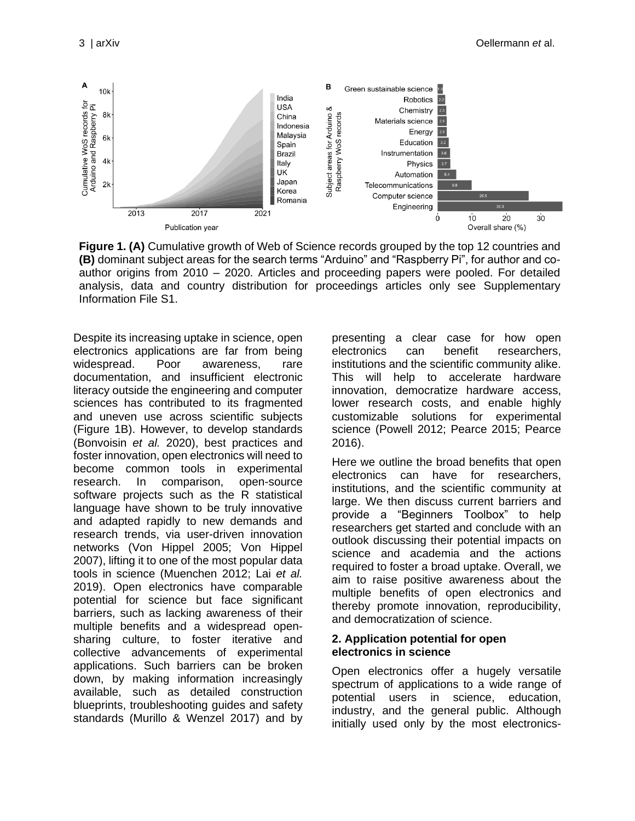

**Figure 1. (A)** Cumulative growth of Web of Science records grouped by the top 12 countries and **(B)** dominant subject areas for the search terms "Arduino" and "Raspberry Pi", for author and coauthor origins from 2010 – 2020. Articles and proceeding papers were pooled. For detailed analysis, data and country distribution for proceedings articles only see [Supplementary](#page-13-0)  [Information File S1.](#page-13-0)

Despite its increasing uptake in science, open electronics applications are far from being widespread. Poor awareness, rare documentation, and insufficient electronic literacy outside the engineering and computer sciences has contributed to its fragmented and uneven use across scientific subjects (Figure 1B). However, to develop standards (Bonvoisin *et al.* 2020), best practices and foster innovation, open electronics will need to become common tools in experimental research. In comparison, open-source software projects such as the R statistical language have shown to be truly innovative and adapted rapidly to new demands and research trends, via user-driven innovation networks (Von Hippel 2005; Von Hippel 2007), lifting it to one of the most popular data tools in science (Muenchen 2012; Lai *et al.* 2019). Open electronics have comparable potential for science but face significant barriers, such as lacking awareness of their multiple benefits and a widespread opensharing culture, to foster iterative and collective advancements of experimental applications. Such barriers can be broken down, by making information increasingly available, such as detailed construction blueprints, troubleshooting guides and safety standards (Murillo & Wenzel 2017) and by presenting a clear case for how open electronics can benefit researchers, institutions and the scientific community alike. This will help to accelerate hardware innovation, democratize hardware access, lower research costs, and enable highly customizable solutions for experimental science (Powell 2012; Pearce 2015; Pearce 2016).

Here we outline the broad benefits that open electronics can have for researchers, institutions, and the scientific community at large. We then discuss current barriers and provide a "Beginners Toolbox" to help researchers get started and conclude with an outlook discussing their potential impacts on science and academia and the actions required to foster a broad uptake. Overall, we aim to raise positive awareness about the multiple benefits of open electronics and thereby promote innovation, reproducibility, and democratization of science.

#### **2. Application potential for open electronics in science**

Open electronics offer a hugely versatile spectrum of applications to a wide range of potential users in science, education, industry, and the general public. Although initially used only by the most electronics-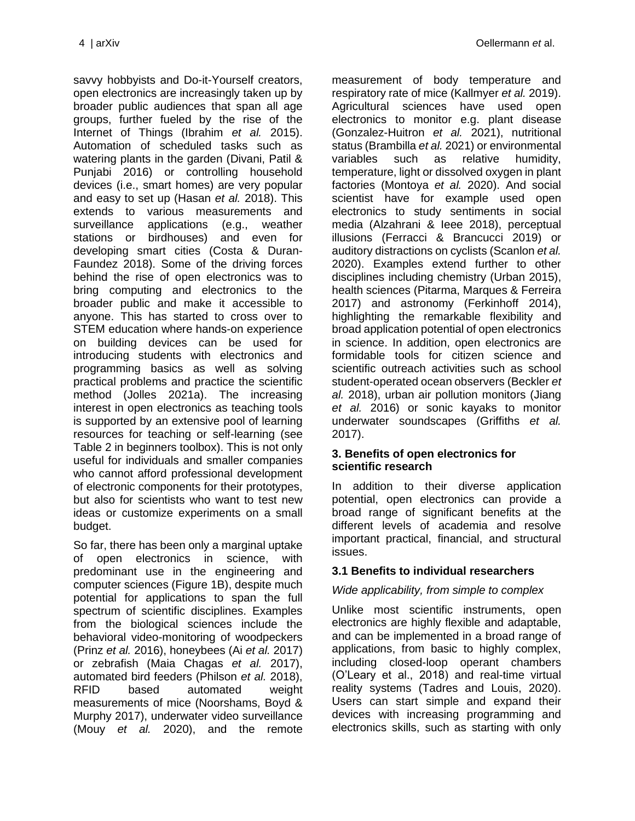savvy hobbyists and Do-it-Yourself creators, open electronics are increasingly taken up by broader public audiences that span all age groups, further fueled by the rise of the Internet of Things (Ibrahim *et al.* 2015). Automation of scheduled tasks such as watering plants in the garden (Divani, Patil & Punjabi 2016) or controlling household devices (i.e., smart homes) are very popular and easy to set up (Hasan *et al.* 2018). This extends to various measurements and surveillance applications (e.g., weather stations or birdhouses) and even for developing smart cities (Costa & Duran-Faundez 2018). Some of the driving forces behind the rise of open electronics was to bring computing and electronics to the broader public and make it accessible to anyone. This has started to cross over to STEM education where hands-on experience on building devices can be used for introducing students with electronics and programming basics as well as solving practical problems and practice the scientific method (Jolles 2021a). The increasing interest in open electronics as teaching tools is supported by an extensive pool of learning resources for teaching or self-learning (see [Table 2](#page-11-0) in beginners toolbox). This is not only useful for individuals and smaller companies who cannot afford professional development of electronic components for their prototypes, but also for scientists who want to test new ideas or customize experiments on a small budget.

So far, there has been only a marginal uptake of open electronics in science, with predominant use in the engineering and computer sciences (Figure 1B), despite much potential for applications to span the full spectrum of scientific disciplines. Examples from the biological sciences include the behavioral video-monitoring of woodpeckers (Prinz *et al.* 2016), honeybees (Ai *et al.* 2017) or zebrafish (Maia Chagas *et al.* 2017), automated bird feeders (Philson *et al.* 2018), RFID based automated weight measurements of mice (Noorshams, Boyd & Murphy 2017), underwater video surveillance (Mouy *et al.* 2020), and the remote

measurement of body temperature and respiratory rate of mice (Kallmyer *et al.* 2019). Agricultural sciences have used open electronics to monitor e.g. plant disease (Gonzalez-Huitron *et al.* 2021), nutritional status (Brambilla *et al.* 2021) or environmental variables such as relative humidity, temperature, light or dissolved oxygen in plant factories (Montoya *et al.* 2020). And social scientist have for example used open electronics to study sentiments in social media (Alzahrani & Ieee 2018), perceptual illusions (Ferracci & Brancucci 2019) or auditory distractions on cyclists (Scanlon *et al.* 2020). Examples extend further to other disciplines including chemistry (Urban 2015), health sciences (Pitarma, Marques & Ferreira 2017) and astronomy (Ferkinhoff 2014), highlighting the remarkable flexibility and broad application potential of open electronics in science. In addition, open electronics are formidable tools for citizen science and scientific outreach activities such as school student-operated ocean observers (Beckler *et al.* 2018), urban air pollution monitors (Jiang *et al.* 2016) or sonic kayaks to monitor underwater soundscapes (Griffiths *et al.* 2017).

## **3. Benefits of open electronics for scientific research**

In addition to their diverse application potential, open electronics can provide a broad range of significant benefits at the different levels of academia and resolve important practical, financial, and structural issues.

## **3.1 Benefits to individual researchers**

## *Wide applicability, from simple to complex*

Unlike most scientific instruments, open electronics are highly flexible and adaptable, and can be implemented in a broad range of applications, from basic to highly complex, including closed-loop operant chambers (O'Leary et al., 2018) and real-time virtual reality systems (Tadres and Louis, 2020). Users can start simple and expand their devices with increasing programming and electronics skills, such as starting with only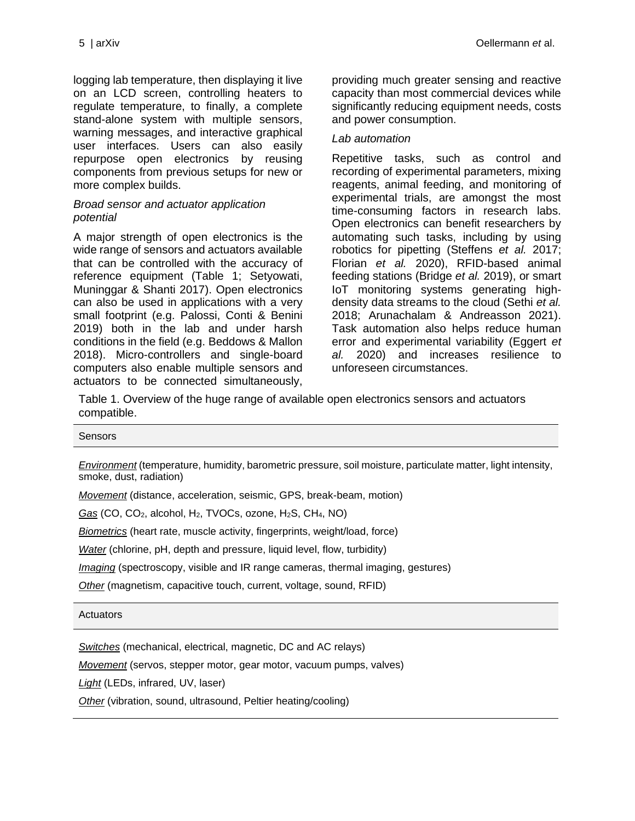logging lab temperature, then displaying it live on an LCD screen, controlling heaters to regulate temperature, to finally, a complete stand-alone system with multiple sensors, warning messages, and interactive graphical user interfaces. Users can also easily repurpose open electronics by reusing components from previous setups for new or more complex builds.

#### *Broad sensor and actuator application potential*

A major strength of open electronics is the wide range of sensors and actuators available that can be controlled with the accuracy of reference equipment (Table 1; Setyowati, Muninggar & Shanti 2017). Open electronics can also be used in applications with a very small footprint (e.g. Palossi, Conti & Benini 2019) both in the lab and under harsh conditions in the field (e.g. Beddows & Mallon 2018). Micro-controllers and single-board computers also enable multiple sensors and actuators to be connected simultaneously,

providing much greater sensing and reactive capacity than most commercial devices while significantly reducing equipment needs, costs and power consumption.

#### *Lab automation*

Repetitive tasks, such as control and recording of experimental parameters, mixing reagents, animal feeding, and monitoring of experimental trials, are amongst the most time-consuming factors in research labs. Open electronics can benefit researchers by automating such tasks, including by using robotics for pipetting (Steffens *et al.* 2017; Florian *et al.* 2020), RFID-based animal feeding stations (Bridge *et al.* 2019), or smart IoT monitoring systems generating highdensity data streams to the cloud (Sethi *et al.* 2018; Arunachalam & Andreasson 2021). Task automation also helps reduce human error and experimental variability (Eggert *et al.* 2020) and increases resilience to unforeseen circumstances.

Table 1. Overview of the huge range of available open electronics sensors and actuators compatible.

| Sensors                                                                                                                                 |
|-----------------------------------------------------------------------------------------------------------------------------------------|
| Environment (temperature, humidity, barometric pressure, soil moisture, particulate matter, light intensity,<br>smoke, dust, radiation) |

*Movement* (distance, acceleration, seismic, GPS, break-beam, motion)

*Gas* (CO, CO2, alcohol, H2, TVOCs, ozone, H2S, CH4, NO)

*Biometrics* (heart rate, muscle activity, fingerprints, weight/load, force)

*Water* (chlorine, pH, depth and pressure, liquid level, flow, turbidity)

*Imaging* (spectroscopy, visible and IR range cameras, thermal imaging, gestures)

*Other* (magnetism, capacitive touch, current, voltage, sound, RFID)

#### **Actuators**

*Switches* (mechanical, electrical, magnetic, DC and AC relays)

*Movement* (servos, stepper motor, gear motor, vacuum pumps, valves)

*Light* (LEDs, infrared, UV, laser)

*Other* (vibration, sound, ultrasound, Peltier heating/cooling)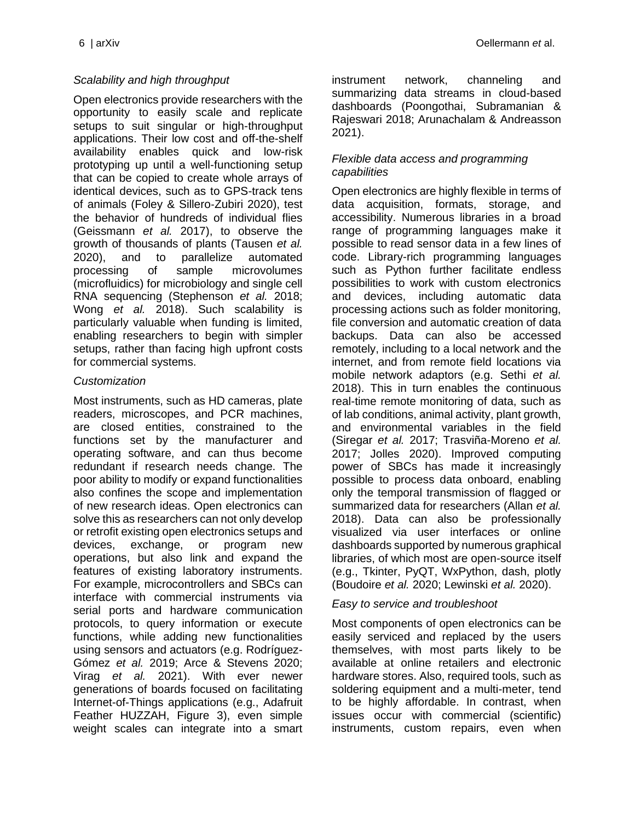### *Scalability and high throughput*

Open electronics provide researchers with the opportunity to easily scale and replicate setups to suit singular or high-throughput applications. Their low cost and off-the-shelf availability enables quick and low-risk prototyping up until a well-functioning setup that can be copied to create whole arrays of identical devices, such as to GPS-track tens of animals (Foley & Sillero‐Zubiri 2020), test the behavior of hundreds of individual flies (Geissmann *et al.* 2017), to observe the growth of thousands of plants (Tausen *et al.* 2020), and to parallelize automated processing of sample microvolumes (microfluidics) for microbiology and single cell RNA sequencing (Stephenson *et al.* 2018; Wong *et al.* 2018). Such scalability is particularly valuable when funding is limited, enabling researchers to begin with simpler setups, rather than facing high upfront costs for commercial systems.

#### *Customization*

Most instruments, such as HD cameras, plate readers, microscopes, and PCR machines, are closed entities, constrained to the functions set by the manufacturer and operating software, and can thus become redundant if research needs change. The poor ability to modify or expand functionalities also confines the scope and implementation of new research ideas. Open electronics can solve this as researchers can not only develop or retrofit existing open electronics setups and devices, exchange, or program new operations, but also link and expand the features of existing laboratory instruments. For example, microcontrollers and SBCs can interface with commercial instruments via serial ports and hardware communication protocols, to query information or execute functions, while adding new functionalities using sensors and actuators (e.g. Rodríguez-Gómez *et al.* 2019; Arce & Stevens 2020; Virag *et al.* 2021). With ever newer generations of boards focused on facilitating Internet-of-Things applications (e.g., Adafruit Feather HUZZAH, [Figure 3\)](#page-10-0), even simple weight scales can integrate into a smart instrument network, channeling and summarizing data streams in cloud-based dashboards (Poongothai, Subramanian & Rajeswari 2018; Arunachalam & Andreasson 2021).

#### *Flexible data access and programming capabilities*

Open electronics are highly flexible in terms of data acquisition, formats, storage, and accessibility. Numerous libraries in a broad range of programming languages make it possible to read sensor data in a few lines of code. Library-rich programming languages such as Python further facilitate endless possibilities to work with custom electronics and devices, including automatic data processing actions such as folder monitoring, file conversion and automatic creation of data backups. Data can also be accessed remotely, including to a local network and the internet, and from remote field locations via mobile network adaptors (e.g. Sethi *et al.* 2018). This in turn enables the continuous real-time remote monitoring of data, such as of lab conditions, animal activity, plant growth, and environmental variables in the field (Siregar *et al.* 2017; Trasviña-Moreno *et al.* 2017; Jolles 2020). Improved computing power of SBCs has made it increasingly possible to process data onboard, enabling only the temporal transmission of flagged or summarized data for researchers (Allan *et al.* 2018). Data can also be professionally visualized via user interfaces or online dashboards supported by numerous graphical libraries, of which most are open-source itself (e.g., Tkinter, PyQT, WxPython, dash, plotly (Boudoire *et al.* 2020; Lewinski *et al.* 2020).

#### *Easy to service and troubleshoot*

Most components of open electronics can be easily serviced and replaced by the users themselves, with most parts likely to be available at online retailers and electronic hardware stores. Also, required tools, such as soldering equipment and a multi-meter, tend to be highly affordable. In contrast, when issues occur with commercial (scientific) instruments, custom repairs, even when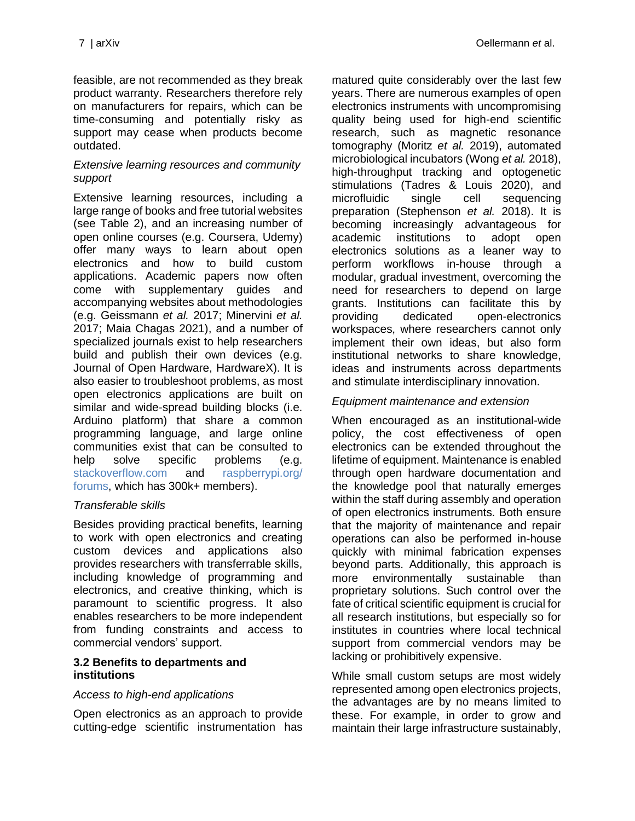feasible, are not recommended as they break product warranty. Researchers therefore rely on manufacturers for repairs, which can be time-consuming and potentially risky as support may cease when products become outdated.

#### *Extensive learning resources and community support*

Extensive learning resources, including a large range of books and free tutorial websites (see [Table 2\)](#page-11-0), and an increasing number of open online courses (e.g. Coursera, Udemy) offer many ways to learn about open electronics and how to build custom applications. Academic papers now often come with supplementary guides and accompanying websites about methodologies (e.g. Geissmann *et al.* 2017; Minervini *et al.* 2017; Maia Chagas 2021), and a number of specialized journals exist to help researchers build and publish their own devices (e.g. Journal of Open Hardware, HardwareX). It is also easier to troubleshoot problems, as most open electronics applications are built on similar and wide-spread building blocks (i.e. Arduino platform) that share a common programming language, and large online communities exist that can be consulted to help solve specific problems (e.g. [stackoverflow.com](https://stackoverflow.com/) and [raspberrypi.org/](https://www.raspberrypi.org/forums/) [forums,](https://www.raspberrypi.org/forums/) which has 300k+ members).

#### *Transferable skills*

Besides providing practical benefits, learning to work with open electronics and creating custom devices and applications also provides researchers with transferrable skills, including knowledge of programming and electronics, and creative thinking, which is paramount to scientific progress. It also enables researchers to be more independent from funding constraints and access to commercial vendors' support.

#### **3.2 Benefits to departments and institutions**

#### *Access to high-end applications*

Open electronics as an approach to provide cutting-edge scientific instrumentation has

matured quite considerably over the last few years. There are numerous examples of open electronics instruments with uncompromising quality being used for high-end scientific research, such as magnetic resonance tomography (Moritz *et al.* 2019), automated microbiological incubators (Wong *et al.* 2018), high-throughput tracking and optogenetic stimulations (Tadres & Louis 2020), and microfluidic single cell sequencing preparation (Stephenson *et al.* 2018). It is becoming increasingly advantageous for academic institutions to adopt open electronics solutions as a leaner way to perform workflows in-house through a modular, gradual investment, overcoming the need for researchers to depend on large grants. Institutions can facilitate this by providing dedicated open-electronics workspaces, where researchers cannot only implement their own ideas, but also form institutional networks to share knowledge, ideas and instruments across departments and stimulate interdisciplinary innovation.

#### *Equipment maintenance and extension*

When encouraged as an institutional-wide policy, the cost effectiveness of open electronics can be extended throughout the lifetime of equipment. Maintenance is enabled through open hardware documentation and the knowledge pool that naturally emerges within the staff during assembly and operation of open electronics instruments. Both ensure that the majority of maintenance and repair operations can also be performed in-house quickly with minimal fabrication expenses beyond parts. Additionally, this approach is more environmentally sustainable than proprietary solutions. Such control over the fate of critical scientific equipment is crucial for all research institutions, but especially so for institutes in countries where local technical support from commercial vendors may be lacking or prohibitively expensive.

While small custom setups are most widely represented among open electronics projects, the advantages are by no means limited to these. For example, in order to grow and maintain their large infrastructure sustainably,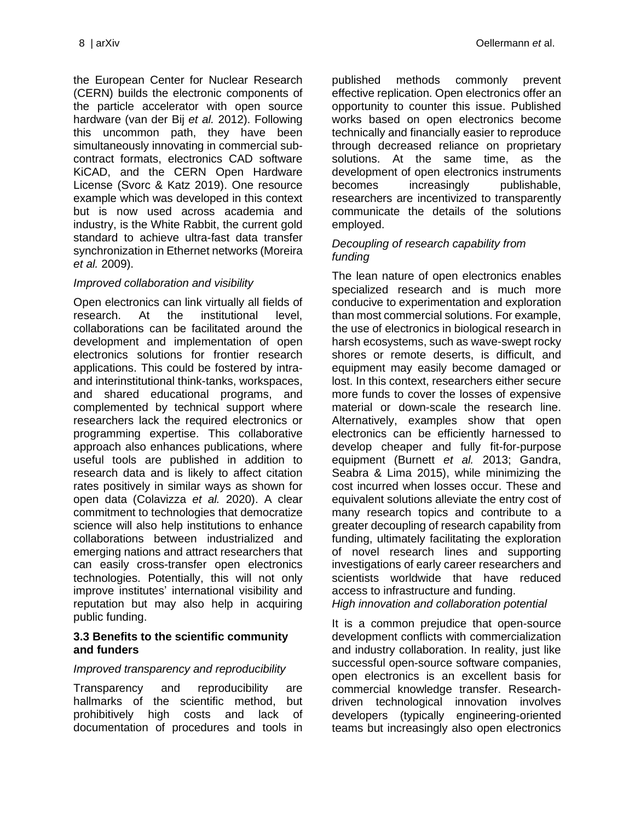the European Center for Nuclear Research (CERN) builds the electronic components of the particle accelerator with open source hardware (van der Bij *et al.* 2012). Following this uncommon path, they have been simultaneously innovating in commercial subcontract formats, electronics CAD software KiCAD, and the CERN Open Hardware License (Svorc & Katz 2019). One resource example which was developed in this context but is now used across academia and industry, is the White Rabbit, the current gold standard to achieve ultra-fast data transfer synchronization in Ethernet networks (Moreira *et al.* 2009).

#### *Improved collaboration and visibility*

Open electronics can link virtually all fields of research. At the institutional level, collaborations can be facilitated around the development and implementation of open electronics solutions for frontier research applications. This could be fostered by intraand interinstitutional think-tanks, workspaces, and shared educational programs, and complemented by technical support where researchers lack the required electronics or programming expertise. This collaborative approach also enhances publications, where useful tools are published in addition to research data and is likely to affect citation rates positively in similar ways as shown for open data (Colavizza *et al.* 2020). A clear commitment to technologies that democratize science will also help institutions to enhance collaborations between industrialized and emerging nations and attract researchers that can easily cross-transfer open electronics technologies. Potentially, this will not only improve institutes' international visibility and reputation but may also help in acquiring public funding.

#### **3.3 Benefits to the scientific community and funders**

#### *Improved transparency and reproducibility*

Transparency and reproducibility are hallmarks of the scientific method, but prohibitively high costs and lack of documentation of procedures and tools in published methods commonly prevent effective replication. Open electronics offer an opportunity to counter this issue. Published works based on open electronics become technically and financially easier to reproduce through decreased reliance on proprietary solutions. At the same time, as the development of open electronics instruments becomes increasingly publishable, researchers are incentivized to transparently communicate the details of the solutions employed.

#### *Decoupling of research capability from funding*

The lean nature of open electronics enables specialized research and is much more conducive to experimentation and exploration than most commercial solutions. For example, the use of electronics in biological research in harsh ecosystems, such as wave-swept rocky shores or remote deserts, is difficult, and equipment may easily become damaged or lost. In this context, researchers either secure more funds to cover the losses of expensive material or down-scale the research line. Alternatively, examples show that open electronics can be efficiently harnessed to develop cheaper and fully fit-for-purpose equipment (Burnett *et al.* 2013; Gandra, Seabra & Lima 2015), while minimizing the cost incurred when losses occur. These and equivalent solutions alleviate the entry cost of many research topics and contribute to a greater decoupling of research capability from funding, ultimately facilitating the exploration of novel research lines and supporting investigations of early career researchers and scientists worldwide that have reduced access to infrastructure and funding. *High innovation and collaboration potential*

It is a common prejudice that open-source development conflicts with commercialization and industry collaboration. In reality, just like successful open-source software companies, open electronics is an excellent basis for commercial knowledge transfer. Researchdriven technological innovation involves developers (typically engineering-oriented teams but increasingly also open electronics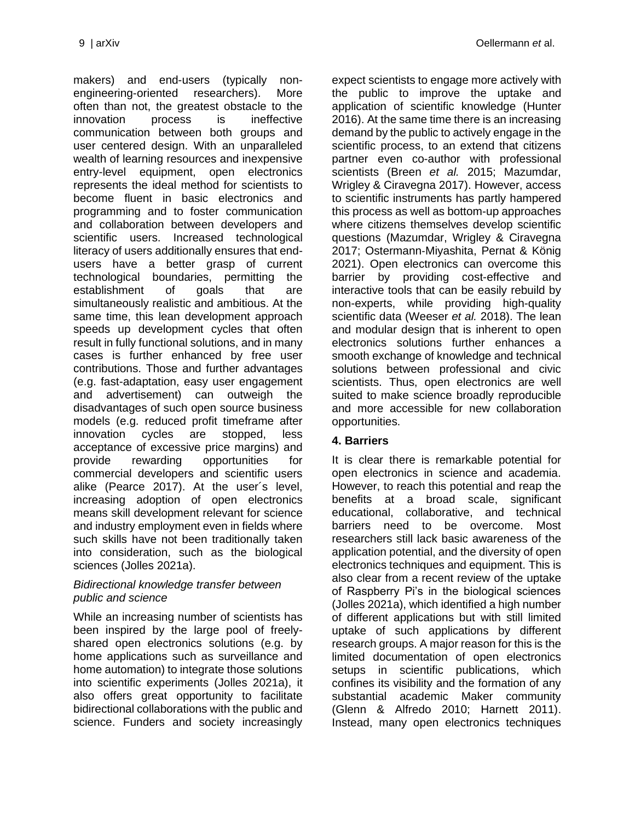makers) and end-users (typically nonengineering-oriented researchers). More often than not, the greatest obstacle to the innovation process is ineffective communication between both groups and user centered design. With an unparalleled wealth of learning resources and inexpensive entry-level equipment, open electronics represents the ideal method for scientists to become fluent in basic electronics and programming and to foster communication and collaboration between developers and scientific users. Increased technological literacy of users additionally ensures that endusers have a better grasp of current technological boundaries, permitting the establishment of goals that are simultaneously realistic and ambitious. At the same time, this lean development approach speeds up development cycles that often result in fully functional solutions, and in many cases is further enhanced by free user contributions. Those and further advantages (e.g. fast-adaptation, easy user engagement and advertisement) can outweigh the disadvantages of such open source business models (e.g. reduced profit timeframe after innovation cycles are stopped, less acceptance of excessive price margins) and provide rewarding opportunities for commercial developers and scientific users alike (Pearce 2017). At the user´s level, increasing adoption of open electronics means skill development relevant for science and industry employment even in fields where such skills have not been traditionally taken into consideration, such as the biological sciences (Jolles 2021a).

#### *Bidirectional knowledge transfer between public and science*

While an increasing number of scientists has been inspired by the large pool of freelyshared open electronics solutions (e.g. by home applications such as surveillance and home automation) to integrate those solutions into scientific experiments (Jolles 2021a), it also offers great opportunity to facilitate bidirectional collaborations with the public and science. Funders and society increasingly

expect scientists to engage more actively with the public to improve the uptake and application of scientific knowledge (Hunter 2016). At the same time there is an increasing demand by the public to actively engage in the scientific process, to an extend that citizens partner even co-author with professional scientists (Breen *et al.* 2015; Mazumdar, Wrigley & Ciravegna 2017). However, access to scientific instruments has partly hampered this process as well as bottom-up approaches where citizens themselves develop scientific questions (Mazumdar, Wrigley & Ciravegna 2017; Ostermann‐Miyashita, Pernat & König 2021). Open electronics can overcome this barrier by providing cost-effective and interactive tools that can be easily rebuild by non-experts, while providing high-quality scientific data (Weeser *et al.* 2018). The lean and modular design that is inherent to open electronics solutions further enhances a smooth exchange of knowledge and technical solutions between professional and civic scientists. Thus, open electronics are well suited to make science broadly reproducible and more accessible for new collaboration opportunities.

## **4. Barriers**

It is clear there is remarkable potential for open electronics in science and academia. However, to reach this potential and reap the benefits at a broad scale, significant educational, collaborative, and technical barriers need to be overcome. Most researchers still lack basic awareness of the application potential, and the diversity of open electronics techniques and equipment. This is also clear from a recent review of the uptake of Raspberry Pi's in the biological sciences (Jolles 2021a), which identified a high number of different applications but with still limited uptake of such applications by different research groups. A major reason for this is the limited documentation of open electronics setups in scientific publications, which confines its visibility and the formation of any substantial academic Maker community (Glenn & Alfredo 2010; Harnett 2011). Instead, many open electronics techniques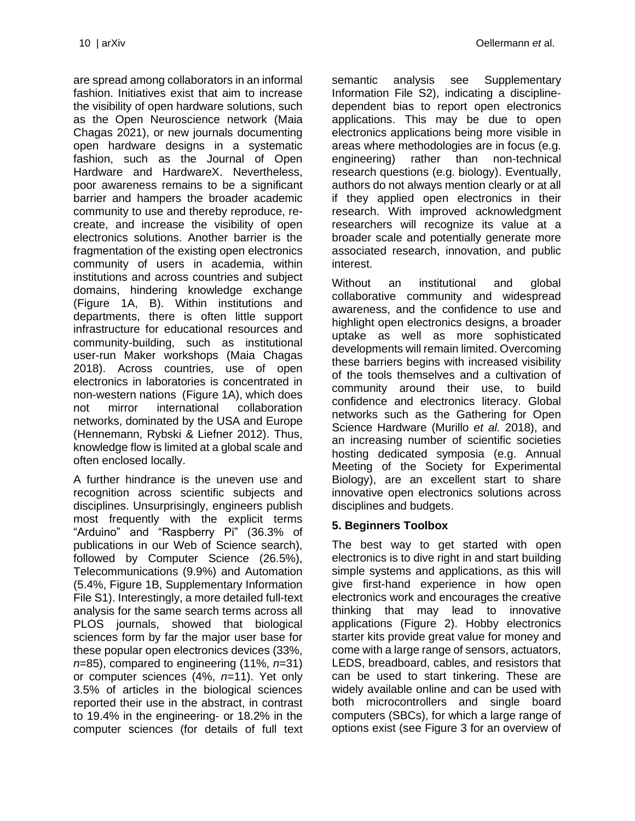are spread among collaborators in an informal fashion. Initiatives exist that aim to increase the visibility of open hardware solutions, such as the Open Neuroscience network (Maia Chagas 2021), or new journals documenting open hardware designs in a systematic fashion, such as the Journal of Open Hardware and HardwareX. Nevertheless, poor awareness remains to be a significant barrier and hampers the broader academic community to use and thereby reproduce, recreate, and increase the visibility of open electronics solutions. Another barrier is the fragmentation of the existing open electronics community of users in academia, within institutions and across countries and subject domains, hindering knowledge exchange (Figure 1A, B). Within institutions and departments, there is often little support infrastructure for educational resources and community-building, such as institutional user-run Maker workshops (Maia Chagas 2018). Across countries, use of open electronics in laboratories is concentrated in non-western nations (Figure 1A), which does not mirror international collaboration networks, dominated by the USA and Europe

(Hennemann, Rybski & Liefner 2012). Thus, knowledge flow is limited at a global scale and often enclosed locally. A further hindrance is the uneven use and

recognition across scientific subjects and disciplines. Unsurprisingly, engineers publish most frequently with the explicit terms "Arduino" and "Raspberry Pi" (36.3% of publications in our Web of Science search), followed by Computer Science (26.5%), Telecommunications (9.9%) and Automation (5.4%, Figure 1B, [Supplementary Information](#page-13-0)  [File S1\)](#page-13-0). Interestingly, a more detailed full-text analysis for the same search terms across all PLOS journals, showed that biological sciences form by far the major user base for these popular open electronics devices (33%, *n*=85), compared to engineering (11%, *n*=31) or computer sciences (4%, *n*=11). Yet only 3.5% of articles in the biological sciences reported their use in the abstract, in contrast to 19.4% in the engineering- or 18.2% in the computer sciences (for details of full text semantic analysis see [Supplementary](#page-13-1)  [Information File S2\)](#page-13-1), indicating a disciplinedependent bias to report open electronics applications. This may be due to open electronics applications being more visible in areas where methodologies are in focus (e.g. engineering) rather than non-technical research questions (e.g. biology). Eventually, authors do not always mention clearly or at all if they applied open electronics in their research. With improved acknowledgment researchers will recognize its value at a broader scale and potentially generate more associated research, innovation, and public interest.

Without an institutional and global collaborative community and widespread awareness, and the confidence to use and highlight open electronics designs, a broader uptake as well as more sophisticated developments will remain limited. Overcoming these barriers begins with increased visibility of the tools themselves and a cultivation of community around their use, to build confidence and electronics literacy. Global networks such as the Gathering for Open Science Hardware (Murillo *et al.* 2018), and an increasing number of scientific societies hosting dedicated symposia (e.g. Annual Meeting of the Society for Experimental Biology), are an excellent start to share innovative open electronics solutions across disciplines and budgets.

## **5. Beginners Toolbox**

The best way to get started with open electronics is to dive right in and start building simple systems and applications, as this will give first-hand experience in how open electronics work and encourages the creative thinking that may lead to innovative applications [\(Figure 2\)](#page-10-1). Hobby electronics starter kits provide great value for money and come with a large range of sensors, actuators, LEDS, breadboard, cables, and resistors that can be used to start tinkering. These are widely available online and can be used with both microcontrollers and single board computers (SBCs), for which a large range of options exist (see [Figure 3](#page-10-0) for an overview of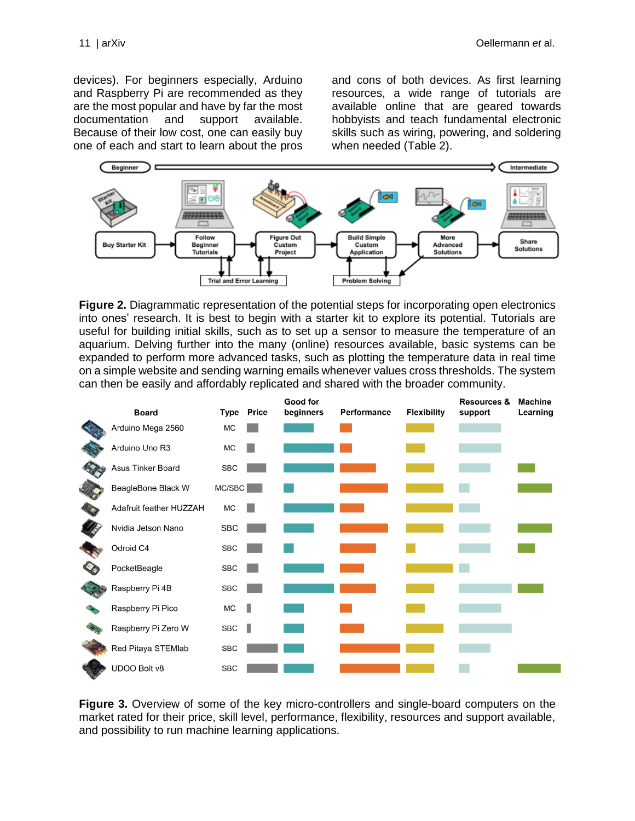devices). For beginners especially, Arduino and Raspberry Pi are recommended as they are the most popular and have by far the most documentation and support available. Because of their low cost, one can easily buy one of each and start to learn about the pros

and cons of both devices. As first learning resources, a wide range of tutorials are available online that are geared towards hobbyists and teach fundamental electronic skills such as wiring, powering, and soldering when needed [\(Table 2\)](#page-11-0).



<span id="page-10-1"></span>**Figure 2.** Diagrammatic representation of the potential steps for incorporating open electronics into ones' research. It is best to begin with a starter kit to explore its potential. Tutorials are useful for building initial skills, such as to set up a sensor to measure the temperature of an aquarium. Delving further into the many (online) resources available, basic systems can be expanded to perform more advanced tasks, such as plotting the temperature data in real time on a simple website and sending warning emails whenever values cross thresholds. The system can then be easily and affordably replicated and shared with the broader community.

| <b>Board</b>            |            | Type Price | Good for<br>beginners | Performance | <b>Flexibility</b> | <b>Resources &amp;</b><br>support | Machine<br>Learning |
|-------------------------|------------|------------|-----------------------|-------------|--------------------|-----------------------------------|---------------------|
| Arduino Mega 2560       | МC         |            |                       |             |                    |                                   |                     |
| Arduino Uno R3          | МC         |            |                       |             |                    |                                   |                     |
| Asus Tinker Board       | SBC        |            |                       |             |                    |                                   |                     |
| BeagleBone Black W      | MC/SEC     |            |                       |             |                    |                                   |                     |
| Adafruit feather HUZZAH | МC         |            |                       |             |                    |                                   |                     |
| Nvidia Jetson Nano      | SBC        |            |                       |             |                    |                                   |                     |
| Odroid C4               | <b>SBC</b> |            |                       |             |                    |                                   |                     |
| PocketBeagle            | <b>SBC</b> |            |                       |             |                    |                                   |                     |
| Raspberry Pi 4B         | SBC        |            |                       |             |                    |                                   |                     |
| Raspberry Pi Pico       | МC         | ı          |                       |             |                    |                                   |                     |
| Raspberry Pi Zero W     | SBC        | ı          |                       |             |                    |                                   |                     |
| Red Pitaya STEMIab      | <b>SBC</b> |            |                       |             |                    |                                   |                     |
| UDOO Bolt v8            | <b>SBC</b> |            |                       |             |                    |                                   |                     |

<span id="page-10-0"></span>**Figure 3.** Overview of some of the key micro-controllers and single-board computers on the market rated for their price, skill level, performance, flexibility, resources and support available, and possibility to run machine learning applications.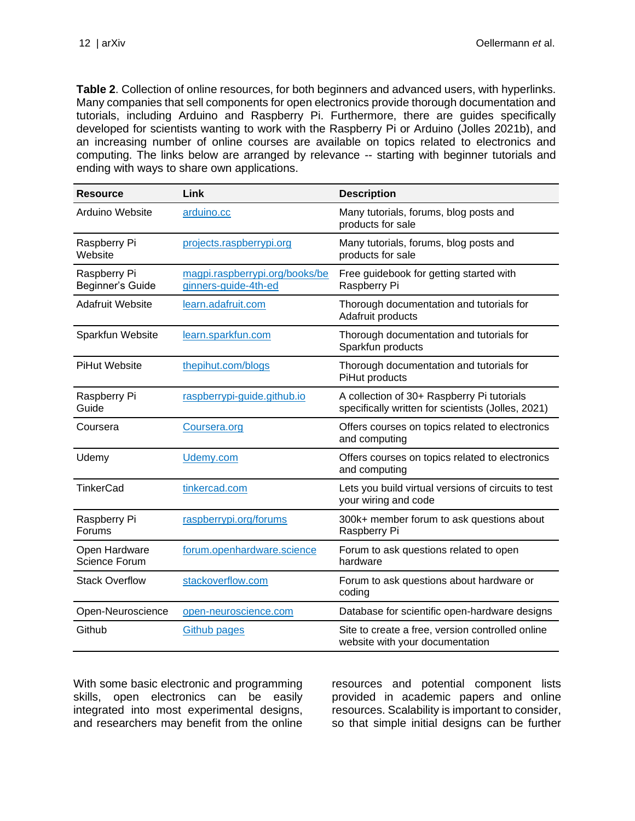<span id="page-11-0"></span>**Table 2**. Collection of online resources, for both beginners and advanced users, with hyperlinks. Many companies that sell components for open electronics provide thorough documentation and tutorials, including Arduino and Raspberry Pi. Furthermore, there are guides specifically developed for scientists wanting to work with the Raspberry Pi or Arduino (Jolles 2021b), and an increasing number of online courses are available on topics related to electronics and computing. The links below are arranged by relevance -- starting with beginner tutorials and ending with ways to share own applications.

| <b>Resource</b>                  | Link                                                   | <b>Description</b>                                                                               |
|----------------------------------|--------------------------------------------------------|--------------------------------------------------------------------------------------------------|
| Arduino Website                  | arduino.cc                                             | Many tutorials, forums, blog posts and<br>products for sale                                      |
| Raspberry Pi<br>Website          | projects.raspberrypi.org                               | Many tutorials, forums, blog posts and<br>products for sale                                      |
| Raspberry Pi<br>Beginner's Guide | magpi.raspberrypi.org/books/be<br>ginners-guide-4th-ed | Free guidebook for getting started with<br>Raspberry Pi                                          |
| <b>Adafruit Website</b>          | learn.adafruit.com                                     | Thorough documentation and tutorials for<br>Adafruit products                                    |
| Sparkfun Website                 | learn.sparkfun.com                                     | Thorough documentation and tutorials for<br>Sparkfun products                                    |
| <b>PiHut Website</b>             | thepihut.com/blogs                                     | Thorough documentation and tutorials for<br>PiHut products                                       |
| Raspberry Pi<br>Guide            | raspberrypi-guide.github.io                            | A collection of 30+ Raspberry Pi tutorials<br>specifically written for scientists (Jolles, 2021) |
| Coursera                         | Coursera.org                                           | Offers courses on topics related to electronics<br>and computing                                 |
| Udemy                            | Udemy.com                                              | Offers courses on topics related to electronics<br>and computing                                 |
| <b>TinkerCad</b>                 | tinkercad.com                                          | Lets you build virtual versions of circuits to test<br>your wiring and code                      |
| Raspberry Pi<br>Forums           | raspberrypi.org/forums                                 | 300k+ member forum to ask questions about<br>Raspberry Pi                                        |
| Open Hardware<br>Science Forum   | forum.openhardware.science                             | Forum to ask questions related to open<br>hardware                                               |
| <b>Stack Overflow</b>            | stackoverflow.com                                      | Forum to ask questions about hardware or<br>coding                                               |
| Open-Neuroscience                | open-neuroscience.com                                  | Database for scientific open-hardware designs                                                    |
| Github                           | <b>Github pages</b>                                    | Site to create a free, version controlled online<br>website with your documentation              |

With some basic electronic and programming skills, open electronics can be easily integrated into most experimental designs, and researchers may benefit from the online resources and potential component lists provided in academic papers and online resources. Scalability is important to consider, so that simple initial designs can be further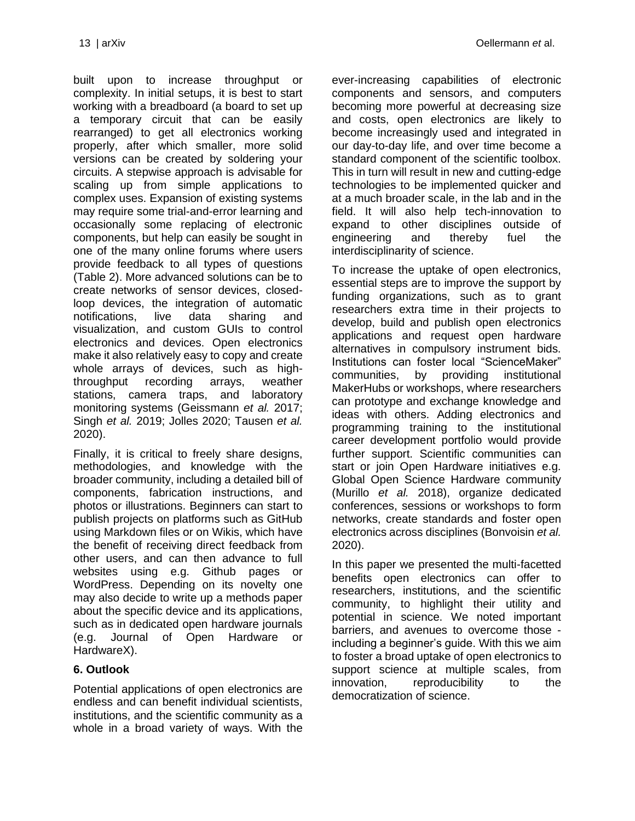built upon to increase throughput or complexity. In initial setups, it is best to start working with a breadboard (a board to set up a temporary circuit that can be easily rearranged) to get all electronics working properly, after which smaller, more solid versions can be created by soldering your circuits. A stepwise approach is advisable for scaling up from simple applications to complex uses. Expansion of existing systems may require some trial-and-error learning and occasionally some replacing of electronic components, but help can easily be sought in one of the many online forums where users provide feedback to all types of questions [\(Table 2\)](#page-11-0). More advanced solutions can be to create networks of sensor devices, closedloop devices, the integration of automatic notifications, live data sharing and visualization, and custom GUIs to control electronics and devices. Open electronics make it also relatively easy to copy and create whole arrays of devices, such as highthroughput recording arrays, weather stations, camera traps, and laboratory monitoring systems (Geissmann *et al.* 2017; Singh *et al.* 2019; Jolles 2020; Tausen *et al.* 2020).

Finally, it is critical to freely share designs, methodologies, and knowledge with the broader community, including a detailed bill of components, fabrication instructions, and photos or illustrations. Beginners can start to publish projects on platforms such as GitHub using Markdown files or on Wikis, which have the benefit of receiving direct feedback from other users, and can then advance to full websites using e.g. [Github pages](http://pages.github.com/) or WordPress. Depending on its novelty one may also decide to write up a methods paper about the specific device and its applications, such as in dedicated open hardware journals (e.g. Journal of Open Hardware or HardwareX).

#### **6. Outlook**

Potential applications of open electronics are endless and can benefit individual scientists, institutions, and the scientific community as a whole in a broad variety of ways. With the

ever-increasing capabilities of electronic components and sensors, and computers becoming more powerful at decreasing size and costs, open electronics are likely to become increasingly used and integrated in our day-to-day life, and over time become a standard component of the scientific toolbox. This in turn will result in new and cutting-edge technologies to be implemented quicker and at a much broader scale, in the lab and in the field. It will also help tech-innovation to expand to other disciplines outside of engineering and thereby fuel the interdisciplinarity of science.

To increase the uptake of open electronics, essential steps are to improve the support by funding organizations, such as to grant researchers extra time in their projects to develop, build and publish open electronics applications and request open hardware alternatives in compulsory instrument bids. Institutions can foster local "ScienceMaker" communities, by providing institutional MakerHubs or workshops, where researchers can prototype and exchange knowledge and ideas with others. Adding electronics and programming training to the institutional career development portfolio would provide further support. Scientific communities can start or join Open Hardware initiatives e.g. Global Open Science Hardware community (Murillo *et al.* 2018), organize dedicated conferences, sessions or workshops to form networks, create standards and foster open electronics across disciplines (Bonvoisin *et al.* 2020).

In this paper we presented the multi-facetted benefits open electronics can offer to researchers, institutions, and the scientific community, to highlight their utility and potential in science. We noted important barriers, and avenues to overcome those including a beginner's guide. With this we aim to foster a broad uptake of open electronics to support science at multiple scales, from innovation, reproducibility to the democratization of science.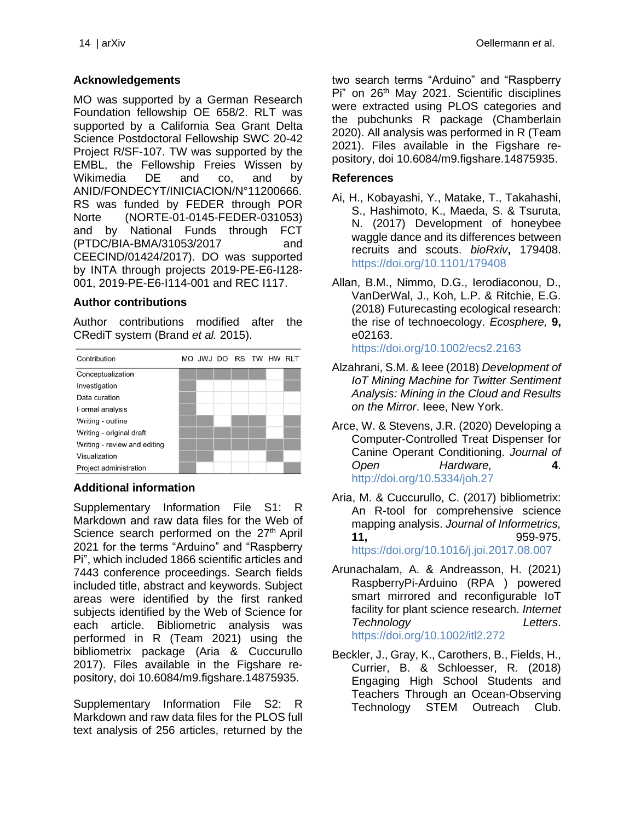#### **Acknowledgements**

MO was supported by a German Research Foundation fellowship OE 658/2. RLT was supported by a California Sea Grant Delta Science Postdoctoral Fellowship SWC 20-42 Project R/SF-107. TW was supported by the EMBL, the Fellowship Freies Wissen by Wikimedia DE and co, and by ANID/FONDECYT/INICIACION/N°11200666. RS was funded by FEDER through POR Norte (NORTE-01-0145-FEDER-031053) and by National Funds through FCT (PTDC/BIA-BMA/31053/2017 and CEECIND/01424/2017). DO was supported by INTA through projects 2019-PE-E6-I128- 001, 2019-PE-E6-I114-001 and REC I117.

#### **Author contributions**

Author contributions modified after the CRediT system (Brand *et al.* 2015).



#### **Additional information**

<span id="page-13-0"></span>Supplementary Information File S1: R Markdown and raw data files for the Web of Science search performed on the 27<sup>th</sup> April 2021 for the terms "Arduino" and "Raspberry Pi", which included 1866 scientific articles and 7443 conference proceedings. Search fields included title, abstract and keywords. Subject areas were identified by the first ranked subjects identified by the Web of Science for each article. Bibliometric analysis was performed in R (Team 2021) using the bibliometrix package (Aria & Cuccurullo 2017). Files available in the Figshare repository, doi 10.6084/m9.figshare.14875935.

<span id="page-13-1"></span>Supplementary Information File S2: R Markdown and raw data files for the PLOS full text analysis of 256 articles, returned by the two search terms "Arduino" and "Raspberry Pi" on 26<sup>th</sup> May 2021. Scientific disciplines were extracted using PLOS categories and the pubchunks R package (Chamberlain 2020). All analysis was performed in R (Team 2021). Files available in the Figshare repository, doi 10.6084/m9.figshare.14875935.

#### **References**

- Ai, H., Kobayashi, Y., Matake, T., Takahashi, S., Hashimoto, K., Maeda, S. & Tsuruta, N. (2017) Development of honeybee waggle dance and its differences between recruits and scouts. *bioRxiv***,** 179408. <https://doi.org/10.1101/179408>
- Allan, B.M., Nimmo, D.G., Ierodiaconou, D., VanDerWal, J., Koh, L.P. & Ritchie, E.G. (2018) Futurecasting ecological research: the rise of technoecology. *Ecosphere,* **9,** e02163.

<https://doi.org/10.1002/ecs2.2163>

- Alzahrani, S.M. & Ieee (2018) *Development of IoT Mining Machine for Twitter Sentiment Analysis: Mining in the Cloud and Results on the Mirror*. Ieee, New York.
- Arce, W. & Stevens, J.R. (2020) Developing a Computer-Controlled Treat Dispenser for Canine Operant Conditioning. *Journal of Open Hardware,* **4**. <http://doi.org/10.5334/joh.27>
- Aria, M. & Cuccurullo, C. (2017) bibliometrix: An R-tool for comprehensive science mapping analysis. *Journal of Informetrics,* **11,** 959-975. <https://doi.org/10.1016/j.joi.2017.08.007>
- Arunachalam, A. & Andreasson, H. (2021) RaspberryPi‐Arduino (RPA ) powered smart mirrored and reconfigurable IoT facility for plant science research. *Internet Technology Letters*. <https://doi.org/10.1002/itl2.272>
- Beckler, J., Gray, K., Carothers, B., Fields, H., Currier, B. & Schloesser, R. (2018) Engaging High School Students and Teachers Through an Ocean-Observing Technology STEM Outreach Club.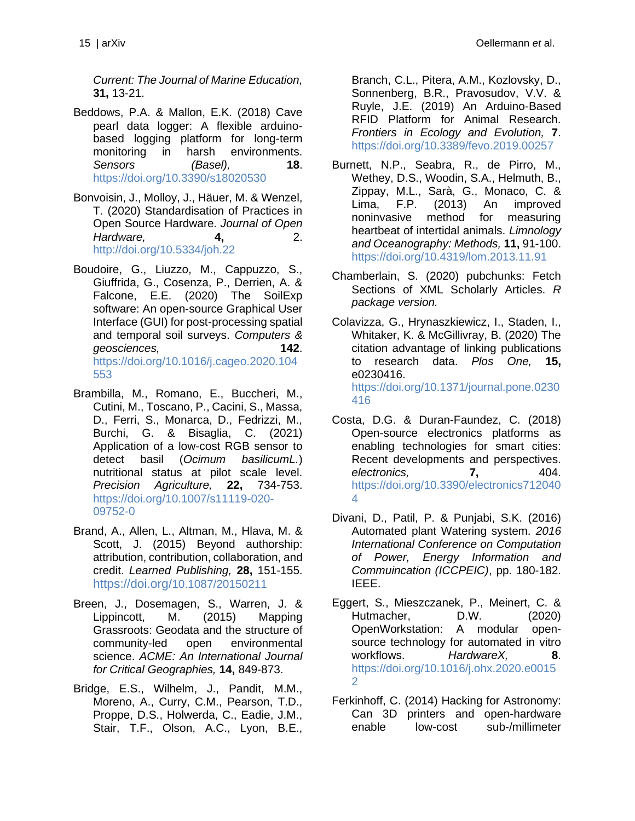*Current: The Journal of Marine Education,* **31,** 13-21.

- Beddows, P.A. & Mallon, E.K. (2018) Cave pearl data logger: A flexible arduinobased logging platform for long-term monitoring in harsh environments. *Sensors (Basel),* **18**. <https://doi.org/10.3390/s18020530>
- Bonvoisin, J., Molloy, J., Häuer, M. & Wenzel, T. (2020) Standardisation of Practices in Open Source Hardware. *Journal of Open Hardware,* **4,** 2. <http://doi.org/10.5334/joh.22>
- Boudoire, G., Liuzzo, M., Cappuzzo, S., Giuffrida, G., Cosenza, P., Derrien, A. & Falcone, E.E. (2020) The SoilExp software: An open-source Graphical User Interface (GUI) for post-processing spatial and temporal soil surveys. *Computers & geosciences,* **142**. [https://doi.org/10.1016/j.cageo.2020.104](https://doi.org/10.1016/j.cageo.2020.104553) [553](https://doi.org/10.1016/j.cageo.2020.104553)
- Brambilla, M., Romano, E., Buccheri, M., Cutini, M., Toscano, P., Cacini, S., Massa, D., Ferri, S., Monarca, D., Fedrizzi, M., Burchi, G. & Bisaglia, C. (2021) Application of a low-cost RGB sensor to detect basil (*Ocimum basilicumL.*) nutritional status at pilot scale level. *Precision Agriculture,* **22,** 734-753. [https://doi.org/10.1007/s11119-020-](https://doi.org/10.1007/s11119-020-09752-0) [09752-0](https://doi.org/10.1007/s11119-020-09752-0)
- Brand, A., Allen, L., Altman, M., Hlava, M. & Scott, J. (2015) Beyond authorship: attribution, contribution, collaboration, and credit. *Learned Publishing,* **28,** 151-155. [https://doi.org/](https://doi.org/10.1087/20150211)[10.1087/20150211](https://doi.org/10.1087/20150211)
- Breen, J., Dosemagen, S., Warren, J. & Lippincott, M. (2015) Mapping Grassroots: Geodata and the structure of community-led open environmental science. *ACME: An International Journal for Critical Geographies,* **14,** 849-873.
- Bridge, E.S., Wilhelm, J., Pandit, M.M., Moreno, A., Curry, C.M., Pearson, T.D., Proppe, D.S., Holwerda, C., Eadie, J.M., Stair, T.F., Olson, A.C., Lyon, B.E.,

Branch, C.L., Pitera, A.M., Kozlovsky, D., Sonnenberg, B.R., Pravosudov, V.V. & Ruyle, J.E. (2019) An Arduino-Based RFID Platform for Animal Research. *Frontiers in Ecology and Evolution,* **7**. <https://doi.org/10.3389/fevo.2019.00257>

- Burnett, N.P., Seabra, R., de Pirro, M., Wethey, D.S., Woodin, S.A., Helmuth, B., Zippay, M.L., Sarà, G., Monaco, C. & Lima, F.P. (2013) An improved noninvasive method for measuring heartbeat of intertidal animals. *Limnology and Oceanography: Methods,* **11,** 91-100. <https://doi.org/10.4319/lom.2013.11.91>
- Chamberlain, S. (2020) pubchunks: Fetch Sections of XML Scholarly Articles. *R package version.*
- Colavizza, G., Hrynaszkiewicz, I., Staden, I., Whitaker, K. & McGillivray, B. (2020) The citation advantage of linking publications to research data. *Plos One,* **15,** e0230416. [https://doi.org/10.1371/journal.pone.0230](https://doi.org/10.1371/journal.pone.0230416) [416](https://doi.org/10.1371/journal.pone.0230416)
- Costa, D.G. & Duran-Faundez, C. (2018) Open-source electronics platforms as enabling technologies for smart cities: Recent developments and perspectives. *electronics,* **7,** 404. [https://doi.org/10.3390/electronics712040](https://doi.org/10.3390/electronics7120404) [4](https://doi.org/10.3390/electronics7120404)
- Divani, D., Patil, P. & Punjabi, S.K. (2016) Automated plant Watering system. *2016 International Conference on Computation of Power, Energy Information and Commuincation (ICCPEIC)*, pp. 180-182. IEEE.
- Eggert, S., Mieszczanek, P., Meinert, C. & Hutmacher, D.W. (2020) OpenWorkstation: A modular opensource technology for automated in vitro workflows. *HardwareX,* **8**. [https://doi.org/10.1016/j.ohx.2020.e0015](https://doi.org/10.1016/j.ohx.2020.e00152) [2](https://doi.org/10.1016/j.ohx.2020.e00152)
- Ferkinhoff, C. (2014) Hacking for Astronomy: Can 3D printers and open-hardware enable low-cost sub-/millimeter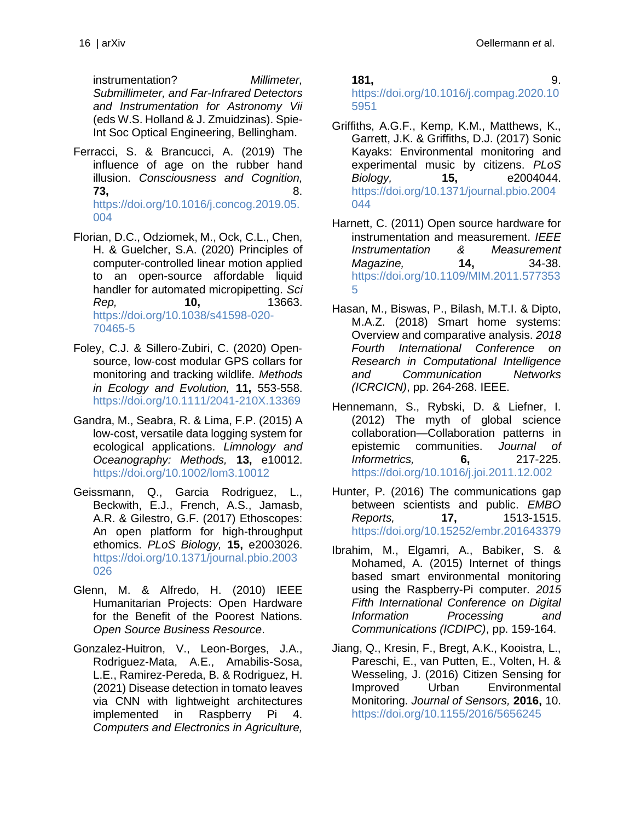instrumentation? *Millimeter, Submillimeter, and Far-Infrared Detectors and Instrumentation for Astronomy Vii*  (eds W.S. Holland & J. Zmuidzinas). Spie-Int Soc Optical Engineering, Bellingham.

- Ferracci, S. & Brancucci, A. (2019) The influence of age on the rubber hand illusion. *Consciousness and Cognition,* **73,** 8. [https://doi.org/10.1016/j.concog.2019.05.](https://doi.org/10.1016/j.concog.2019.05.004) [004](https://doi.org/10.1016/j.concog.2019.05.004)
- Florian, D.C., Odziomek, M., Ock, C.L., Chen, H. & Guelcher, S.A. (2020) Principles of computer-controlled linear motion applied to an open-source affordable liquid handler for automated micropipetting. *Sci Rep,* **10,** 13663. [https://doi.org/10.1038/s41598-020-](https://doi.org/10.1038/s41598-020-70465-5) [70465-5](https://doi.org/10.1038/s41598-020-70465-5)
- Foley, C.J. & Sillero‐Zubiri, C. (2020) Open‐ source, low‐cost modular GPS collars for monitoring and tracking wildlife. *Methods in Ecology and Evolution,* **11,** 553-558. <https://doi.org/10.1111/2041-210X.13369>
- Gandra, M., Seabra, R. & Lima, F.P. (2015) A low-cost, versatile data logging system for ecological applications. *Limnology and Oceanography: Methods,* **13,** e10012. <https://doi.org/10.1002/lom3.10012>
- Geissmann, Q., Garcia Rodriguez, L., Beckwith, E.J., French, A.S., Jamasb, A.R. & Gilestro, G.F. (2017) Ethoscopes: An open platform for high-throughput ethomics. *PLoS Biology,* **15,** e2003026. [https://doi.org/10.1371/journal.pbio.2003](https://doi.org/10.1371/journal.pbio.2003026) [026](https://doi.org/10.1371/journal.pbio.2003026)
- Glenn, M. & Alfredo, H. (2010) IEEE Humanitarian Projects: Open Hardware for the Benefit of the Poorest Nations. *Open Source Business Resource*.
- Gonzalez-Huitron, V., Leon-Borges, J.A., Rodriguez-Mata, A.E., Amabilis-Sosa, L.E., Ramirez-Pereda, B. & Rodriguez, H. (2021) Disease detection in tomato leaves via CNN with lightweight architectures implemented in Raspberry Pi 4. *Computers and Electronics in Agriculture,*

**181,** 9. [https://doi.org/10.1016/j.compag.2020.10](https://doi.org/10.1016/j.compag.2020.105951) [5951](https://doi.org/10.1016/j.compag.2020.105951)

- Griffiths, A.G.F., Kemp, K.M., Matthews, K., Garrett, J.K. & Griffiths, D.J. (2017) Sonic Kayaks: Environmental monitoring and experimental music by citizens. *PLoS Biology,* **15,** e2004044. [https://doi.org/10.1371/journal.pbio.2004](https://doi.org/10.1371/journal.pbio.2004044) [044](https://doi.org/10.1371/journal.pbio.2004044)
- Harnett, C. (2011) Open source hardware for instrumentation and measurement. *IEEE Instrumentation & Measurement Magazine,* **14,** 34-38. [https://doi.org/10.1109/MIM.2011.577353](https://doi.org/10.1109/MIM.2011.5773535) [5](https://doi.org/10.1109/MIM.2011.5773535)
- Hasan, M., Biswas, P., Bilash, M.T.I. & Dipto, M.A.Z. (2018) Smart home systems: Overview and comparative analysis. *2018 Fourth International Conference on Research in Computational Intelligence and Communication Networks (ICRCICN)*, pp. 264-268. IEEE.
- Hennemann, S., Rybski, D. & Liefner, I. (2012) The myth of global science collaboration—Collaboration patterns in epistemic communities. *Journal of Informetrics,* **6,** 217-225. <https://doi.org/10.1016/j.joi.2011.12.002>
- Hunter, P. (2016) The communications gap between scientists and public. *EMBO Reports,* **17,** 1513-1515. <https://doi.org/10.15252/embr.201643379>
- Ibrahim, M., Elgamri, A., Babiker, S. & Mohamed, A. (2015) Internet of things based smart environmental monitoring using the Raspberry-Pi computer. *2015 Fifth International Conference on Digital Information Processing and Communications (ICDIPC)*, pp. 159-164.
- Jiang, Q., Kresin, F., Bregt, A.K., Kooistra, L., Pareschi, E., van Putten, E., Volten, H. & Wesseling, J. (2016) Citizen Sensing for Improved Urban Environmental Monitoring. *Journal of Sensors,* **2016,** 10. <https://doi.org/10.1155/2016/5656245>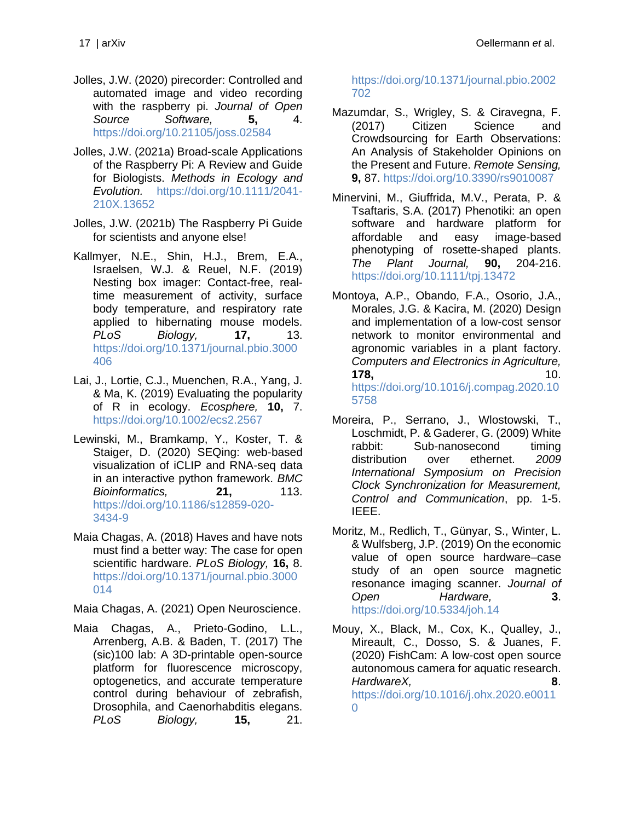- Jolles, J.W. (2020) pirecorder: Controlled and automated image and video recording with the raspberry pi. *Journal of Open Source Software,* **5,** 4. <https://doi.org/10.21105/joss.02584>
- Jolles, J.W. (2021a) Broad-scale Applications of the Raspberry Pi: A Review and Guide for Biologists. *Methods in Ecology and Evolution.* [https://doi.org/10.1111/2041-](https://doi.org/10.1111/2041-210X.13652) [210X.13652](https://doi.org/10.1111/2041-210X.13652)
- Jolles, J.W. (2021b) The Raspberry Pi Guide for scientists and anyone else!
- Kallmyer, N.E., Shin, H.J., Brem, E.A., Israelsen, W.J. & Reuel, N.F. (2019) Nesting box imager: Contact-free, realtime measurement of activity, surface body temperature, and respiratory rate applied to hibernating mouse models. *PLoS Biology,* **17,** 13. [https://doi.org/10.1371/journal.pbio.3000](https://doi.org/10.1371/journal.pbio.3000406) [406](https://doi.org/10.1371/journal.pbio.3000406)
- Lai, J., Lortie, C.J., Muenchen, R.A., Yang, J. & Ma, K. (2019) Evaluating the popularity of R in ecology. *Ecosphere,* **10,** 7. <https://doi.org/10.1002/ecs2.2567>
- Lewinski, M., Bramkamp, Y., Koster, T. & Staiger, D. (2020) SEQing: web-based visualization of iCLIP and RNA-seq data in an interactive python framework. *BMC Bioinformatics,* **21,** 113. [https://doi.org/10.1186/s12859-020-](https://doi.org/10.1186/s12859-020-3434-9) [3434-9](https://doi.org/10.1186/s12859-020-3434-9)
- Maia Chagas, A. (2018) Haves and have nots must find a better way: The case for open scientific hardware. *PLoS Biology,* **16,** 8. [https://doi.org/10.1371/journal.pbio.3000](https://doi.org/10.1371/journal.pbio.3000014) [014](https://doi.org/10.1371/journal.pbio.3000014)

Maia Chagas, A. (2021) Open Neuroscience.

Maia Chagas, A., Prieto-Godino, L.L., Arrenberg, A.B. & Baden, T. (2017) The (sic)100 lab: A 3D-printable open-source platform for fluorescence microscopy, optogenetics, and accurate temperature control during behaviour of zebrafish, Drosophila, and Caenorhabditis elegans. *PLoS Biology,* **15,** 21. [https://doi.org/10.1371/journal.pbio.2002](https://doi.org/10.1371/journal.pbio.2002702) [702](https://doi.org/10.1371/journal.pbio.2002702)

- Mazumdar, S., Wrigley, S. & Ciravegna, F. (2017) Citizen Science and Crowdsourcing for Earth Observations: An Analysis of Stakeholder Opinions on the Present and Future. *Remote Sensing,* **9,** 87.<https://doi.org/10.3390/rs9010087>
- Minervini, M., Giuffrida, M.V., Perata, P. & Tsaftaris, S.A. (2017) Phenotiki: an open software and hardware platform for affordable and easy image-based phenotyping of rosette-shaped plants. *The Plant Journal,* **90,** 204-216. <https://doi.org/10.1111/tpj.13472>
- Montoya, A.P., Obando, F.A., Osorio, J.A., Morales, J.G. & Kacira, M. (2020) Design and implementation of a low-cost sensor network to monitor environmental and agronomic variables in a plant factory. *Computers and Electronics in Agriculture,* **178,** 10. [https://doi.org/10.1016/j.compag.2020.10](https://doi.org/10.1016/j.compag.2020.105758) [5758](https://doi.org/10.1016/j.compag.2020.105758)
- Moreira, P., Serrano, J., Wlostowski, T., Loschmidt, P. & Gaderer, G. (2009) White rabbit: Sub-nanosecond timing distribution over ethernet. *2009 International Symposium on Precision Clock Synchronization for Measurement, Control and Communication*, pp. 1-5. IEEE.
- Moritz, M., Redlich, T., Günyar, S., Winter, L. & Wulfsberg, J.P. (2019) On the economic value of open source hardware–case study of an open source magnetic resonance imaging scanner. *Journal of Open Hardware,* **3**. <https://doi.org/10.5334/joh.14>
- Mouy, X., Black, M., Cox, K., Qualley, J., Mireault, C., Dosso, S. & Juanes, F. (2020) FishCam: A low-cost open source autonomous camera for aquatic research. *HardwareX,* **8**. [https://doi.org/10.1016/j.ohx.2020.e0011](https://doi.org/10.1016/j.ohx.2020.e00110)  $\Omega$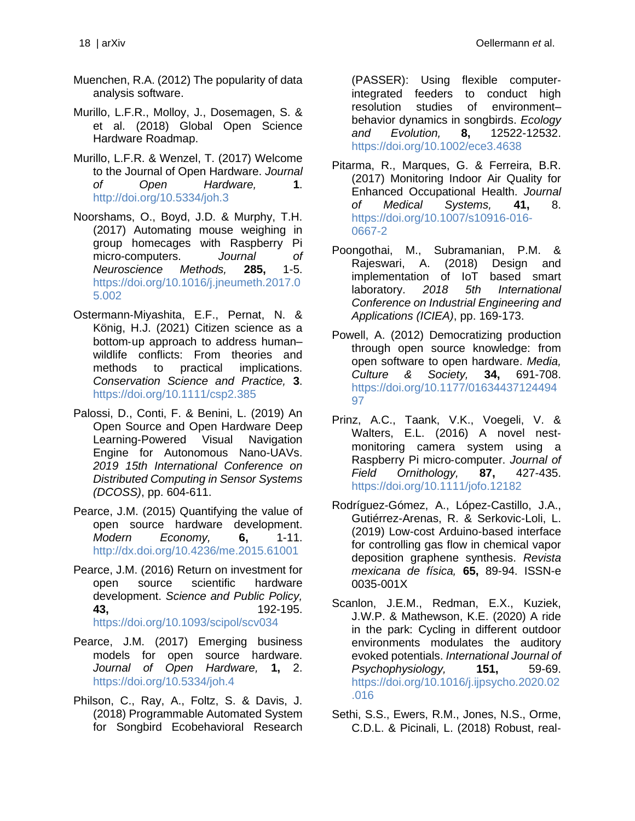- Muenchen, R.A. (2012) The popularity of data analysis software.
- Murillo, L.F.R., Molloy, J., Dosemagen, S. & et al. (2018) Global Open Science Hardware Roadmap.
- Murillo, L.F.R. & Wenzel, T. (2017) Welcome to the Journal of Open Hardware. *Journal of Open Hardware,* **1**. <http://doi.org/10.5334/joh.3>
- Noorshams, O., Boyd, J.D. & Murphy, T.H. (2017) Automating mouse weighing in group homecages with Raspberry Pi micro-computers. *Journal of Neuroscience Methods,* **285,** 1-5. [https://doi.org/10.1016/j.jneumeth.2017.0](https://doi.org/10.1016/j.jneumeth.2017.05.002) [5.002](https://doi.org/10.1016/j.jneumeth.2017.05.002)
- Ostermann‐Miyashita, E.F., Pernat, N. & König, H.J. (2021) Citizen science as a bottom‐up approach to address human– wildlife conflicts: From theories and methods to practical implications. *Conservation Science and Practice,* **3**. <https://doi.org/10.1111/csp2.385>
- Palossi, D., Conti, F. & Benini, L. (2019) An Open Source and Open Hardware Deep Learning-Powered Visual Navigation Engine for Autonomous Nano-UAVs. *2019 15th International Conference on Distributed Computing in Sensor Systems (DCOSS)*, pp. 604-611.
- Pearce, J.M. (2015) Quantifying the value of open source hardware development. *Modern Economy,* **6,** 1-11. <http://dx.doi.org/10.4236/me.2015.61001>
- Pearce, J.M. (2016) Return on investment for open source scientific hardware development. *Science and Public Policy,* **43,** 192-195. <https://doi.org/10.1093/scipol/scv034>
- Pearce, J.M. (2017) Emerging business models for open source hardware. *Journal of Open Hardware,* **1,** 2. <https://doi.org/10.5334/joh.4>
- Philson, C., Ray, A., Foltz, S. & Davis, J. (2018) Programmable Automated System for Songbird Ecobehavioral Research

(PASSER): Using flexible computer‐ integrated feeders to conduct high resolution studies of environment– behavior dynamics in songbirds. *Ecology and Evolution,* **8,** 12522-12532. <https://doi.org/10.1002/ece3.4638>

- Pitarma, R., Marques, G. & Ferreira, B.R. (2017) Monitoring Indoor Air Quality for Enhanced Occupational Health. *Journal of Medical Systems,* **41,** 8. [https://doi.org/10.1007/s10916-016-](https://doi.org/10.1007/s10916-016-0667-2) [0667-2](https://doi.org/10.1007/s10916-016-0667-2)
- Poongothai, M., Subramanian, P.M. & Rajeswari, A. (2018) Design and implementation of IoT based smart laboratory. *2018 5th International Conference on Industrial Engineering and Applications (ICIEA)*, pp. 169-173.
- Powell, A. (2012) Democratizing production through open source knowledge: from open software to open hardware. *Media, Culture & Society,* **34,** 691-708. [https://doi.org/10.1177/01634437124494](https://doi.org/10.1177/0163443712449497) [97](https://doi.org/10.1177/0163443712449497)
- Prinz, A.C., Taank, V.K., Voegeli, V. & Walters, E.L. (2016) A novel nestmonitoring camera system using a Raspberry Pi micro‐computer. *Journal of Field Ornithology,* **87,** 427-435. <https://doi.org/10.1111/jofo.12182>
- Rodríguez-Gómez, A., López-Castillo, J.A., Gutiérrez-Arenas, R. & Serkovic-Loli, L. (2019) Low-cost Arduino-based interface for controlling gas flow in chemical vapor deposition graphene synthesis. *Revista mexicana de física,* **65,** 89-94. ISSN-e 0035-001X
- Scanlon, J.E.M., Redman, E.X., Kuziek, J.W.P. & Mathewson, K.E. (2020) A ride in the park: Cycling in different outdoor environments modulates the auditory evoked potentials. *International Journal of Psychophysiology,* **151,** 59-69. [https://doi.org/10.1016/j.ijpsycho.2020.02](https://doi.org/10.1016/j.ijpsycho.2020.02.016) [.016](https://doi.org/10.1016/j.ijpsycho.2020.02.016)
- Sethi, S.S., Ewers, R.M., Jones, N.S., Orme, C.D.L. & Picinali, L. (2018) Robust, real‐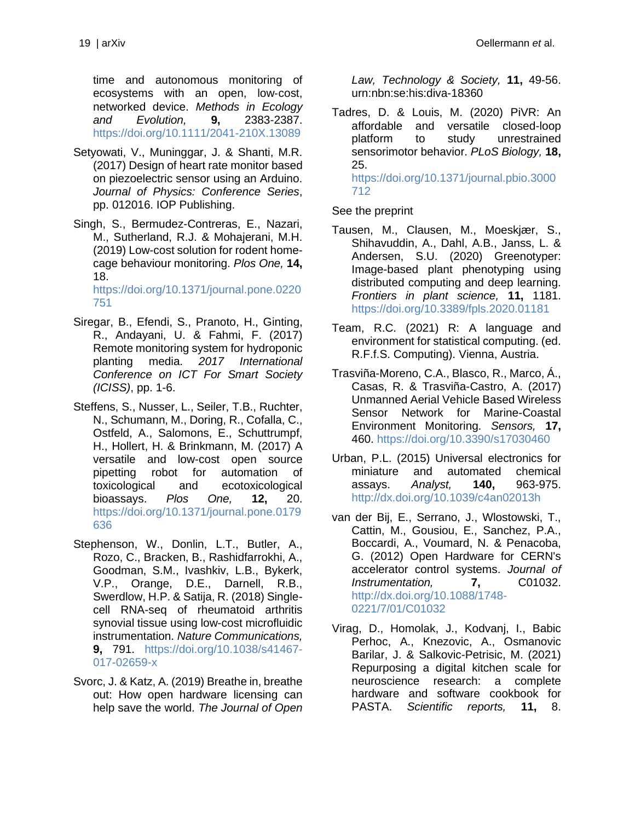time and autonomous monitoring of ecosystems with an open, low‐cost, networked device. *Methods in Ecology and Evolution,* **9,** 2383-2387. <https://doi.org/10.1111/2041-210X.13089>

- Setyowati, V., Muninggar, J. & Shanti, M.R. (2017) Design of heart rate monitor based on piezoelectric sensor using an Arduino. *Journal of Physics: Conference Series*, pp. 012016. IOP Publishing.
- Singh, S., Bermudez-Contreras, E., Nazari, M., Sutherland, R.J. & Mohajerani, M.H. (2019) Low-cost solution for rodent homecage behaviour monitoring. *Plos One,* **14,** 18.

[https://doi.org/10.1371/journal.pone.0220](https://doi.org/10.1371/journal.pone.0220751) [751](https://doi.org/10.1371/journal.pone.0220751)

- Siregar, B., Efendi, S., Pranoto, H., Ginting, R., Andayani, U. & Fahmi, F. (2017) Remote monitoring system for hydroponic planting media. *2017 International Conference on ICT For Smart Society (ICISS)*, pp. 1-6.
- Steffens, S., Nusser, L., Seiler, T.B., Ruchter, N., Schumann, M., Doring, R., Cofalla, C., Ostfeld, A., Salomons, E., Schuttrumpf, H., Hollert, H. & Brinkmann, M. (2017) A versatile and low-cost open source pipetting robot for automation of toxicological and ecotoxicological bioassays. *Plos One,* **12,** 20. [https://doi.org/10.1371/journal.pone.0179](https://doi.org/10.1371/journal.pone.0179636) [636](https://doi.org/10.1371/journal.pone.0179636)
- Stephenson, W., Donlin, L.T., Butler, A., Rozo, C., Bracken, B., Rashidfarrokhi, A., Goodman, S.M., Ivashkiv, L.B., Bykerk, V.P., Orange, D.E., Darnell, R.B., Swerdlow, H.P. & Satija, R. (2018) Singlecell RNA-seq of rheumatoid arthritis synovial tissue using low-cost microfluidic instrumentation. *Nature Communications,* **9,** 791. [https://doi.org/10.1038/s41467-](https://doi.org/10.1038/s41467-017-02659-x) [017-02659-x](https://doi.org/10.1038/s41467-017-02659-x)
- Svorc, J. & Katz, A. (2019) Breathe in, breathe out: How open hardware licensing can help save the world. *The Journal of Open*

*Law, Technology & Society,* **11,** 49-56. urn:nbn:se:his:diva-18360

Tadres, D. & Louis, M. (2020) PiVR: An affordable and versatile closed-loop platform to study unrestrained sensorimotor behavior. *PLoS Biology,* **18,** 25. [https://doi.org/10.1371/journal.pbio.3000](https://doi.org/10.1371/journal.pbio.3000712) [712](https://doi.org/10.1371/journal.pbio.3000712)

See the preprint

- Tausen, M., Clausen, M., Moeskjær, S., Shihavuddin, A., Dahl, A.B., Janss, L. & Andersen, S.U. (2020) Greenotyper: Image-based plant phenotyping using distributed computing and deep learning. *Frontiers in plant science,* **11,** 1181. <https://doi.org/10.3389/fpls.2020.01181>
- Team, R.C. (2021) R: A language and environment for statistical computing. (ed. R.F.f.S. Computing). Vienna, Austria.
- Trasviña-Moreno, C.A., Blasco, R., Marco, Á., Casas, R. & Trasviña-Castro, A. (2017) Unmanned Aerial Vehicle Based Wireless Sensor Network for Marine-Coastal Environment Monitoring. *Sensors,* **17,** 460.<https://doi.org/10.3390/s17030460>
- Urban, P.L. (2015) Universal electronics for miniature and automated chemical assays. *Analyst,* **140,** 963-975. <http://dx.doi.org/10.1039/c4an02013h>
- van der Bij, E., Serrano, J., Wlostowski, T., Cattin, M., Gousiou, E., Sanchez, P.A., Boccardi, A., Voumard, N. & Penacoba, G. (2012) Open Hardware for CERN's accelerator control systems. *Journal of Instrumentation,* **7,** C01032. [http://dx.doi.org/10.1088/1748-](http://dx.doi.org/10.1088/1748-0221/7/01/C01032) [0221/7/01/C01032](http://dx.doi.org/10.1088/1748-0221/7/01/C01032)
- Virag, D., Homolak, J., Kodvanj, I., Babic Perhoc, A., Knezovic, A., Osmanovic Barilar, J. & Salkovic-Petrisic, M. (2021) Repurposing a digital kitchen scale for neuroscience research: a complete hardware and software cookbook for PASTA. *Scientific reports,* **11,** 8.